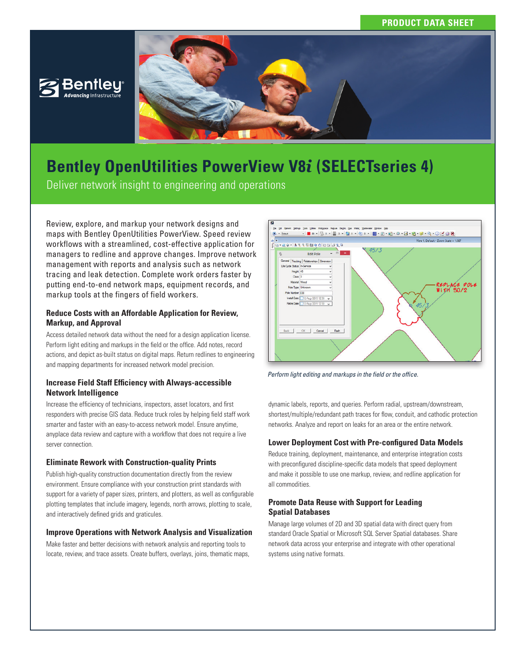



# **Bentley OpenUtilities PowerView V8***i* **(SELECTseries 4)**

Deliver network insight to engineering and operations

Review, explore, and markup your network designs and maps with Bentley OpenUtilities PowerView. Speed review workflows with a streamlined, cost-effective application for managers to redline and approve changes. Improve network management with reports and analysis such as network tracing and leak detection. Complete work orders faster by putting end-to-end network maps, equipment records, and markup tools at the fingers of field workers.

# **Reduce Costs with an Affordable Application for Review, Markup, and Approval**

Access detailed network data without the need for a design application license. Perform light editing and markups in the field or the office. Add notes, record actions, and depict as-built status on digital maps. Return redlines to engineering and mapping departments for increased network model precision.

# **Increase Field Staff Efficiency with Always-accessible Network Intelligence**

Increase the efficiency of technicians, inspectors, asset locators, and first responders with precise GIS data. Reduce truck roles by helping field staff work smarter and faster with an easy-to-access network model. Ensure anytime, anyplace data review and capture with a workflow that does not require a live server connection.

# **Eliminate Rework with Construction-quality Prints**

Publish high-quality construction documentation directly from the review environment. Ensure compliance with your construction print standards with support for a variety of paper sizes, printers, and plotters, as well as configurable plotting templates that include imagery, legends, north arrows, plotting to scale, and interactively defined grids and graticules.

# **Improve Operations with Network Analysis and Visualization**

Make faster and better decisions with network analysis and reporting tools to locate, review, and trace assets. Create buffers, overlays, joins, thematic maps,



*Perform light editing and markups in the field or the office.* 

dynamic labels, reports, and queries. Perform radial, upstream/downstream, shortest/multiple/redundant path traces for flow, conduit, and cathodic protection networks. Analyze and report on leaks for an area or the entire network.

# **Lower Deployment Cost with Pre-configured Data Models**

Reduce training, deployment, maintenance, and enterprise integration costs with preconfigured discipline-specific data models that speed deployment and make it possible to use one markup, review, and redline application for all commodities.

# **Promote Data Reuse with Support for Leading Spatial Databases**

Manage large volumes of 2D and 3D spatial data with direct query from standard Oracle Spatial or Microsoft SQL Server Spatial databases. Share network data across your enterprise and integrate with other operational systems using native formats.